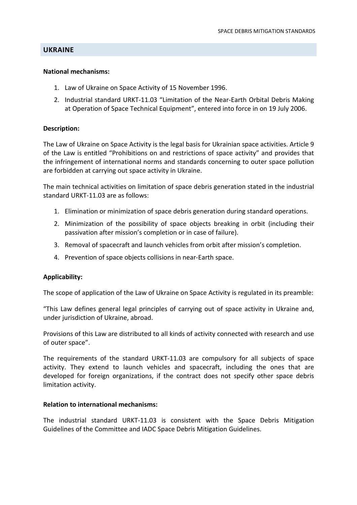## **UKRAINE**

#### **National mechanisms:**

- 1. Law of Ukraine on Space Activity of 15 November 1996.
- 2. Industrial standard URKT-11.03 "Limitation of the Near-Earth Orbital Debris Making at Operation of Space Technical Equipment", entered into force in on 19 July 2006.

## **Description:**

The Law of Ukraine on Space Activity is the legal basis for Ukrainian space activities. Article 9 of the Law is entitled "Prohibitions on and restrictions of space activity" and provides that the infringement of international norms and standards concerning to outer space pollution are forbidden at carrying out space activity in Ukraine.

The main technical activities on limitation of space debris generation stated in the industrial standard URKT-11.03 are as follows:

- 1. Elimination or minimization of space debris generation during standard operations.
- 2. Minimization of the possibility of space objects breaking in orbit (including their passivation after mission's completion or in case of failure).
- 3. Removal of spacecraft and launch vehicles from orbit after mission's completion.
- 4. Prevention of space objects collisions in near-Earth space.

#### **Applicability:**

The scope of application of the Law of Ukraine on Space Activity is regulated in its preamble:

"This Law defines general legal principles of carrying out of space activity in Ukraine and, under jurisdiction of Ukraine, abroad.

Provisions of this Law are distributed to all kinds of activity connected with research and use of outer space".

The requirements of the standard URKT-11.03 are compulsory for all subjects of space activity. They extend to launch vehicles and spacecraft, including the ones that are developed for foreign organizations, if the contract does not specify other space debris limitation activity.

#### **Relation to international mechanisms:**

The industrial standard URKT-11.03 is consistent with the Space Debris Mitigation Guidelines of the Committee and IADC Space Debris Mitigation Guidelines.